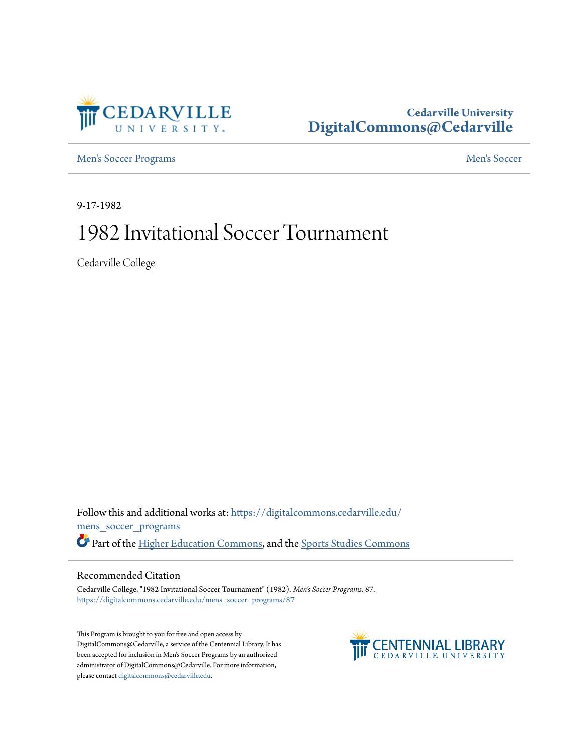

## **Cedarville University [DigitalCommons@Cedarville](https://digitalcommons.cedarville.edu?utm_source=digitalcommons.cedarville.edu%2Fmens_soccer_programs%2F87&utm_medium=PDF&utm_campaign=PDFCoverPages)**

[Men's Soccer Programs](https://digitalcommons.cedarville.edu/mens_soccer_programs?utm_source=digitalcommons.cedarville.edu%2Fmens_soccer_programs%2F87&utm_medium=PDF&utm_campaign=PDFCoverPages) [Men's Soccer](https://digitalcommons.cedarville.edu/mens_soccer?utm_source=digitalcommons.cedarville.edu%2Fmens_soccer_programs%2F87&utm_medium=PDF&utm_campaign=PDFCoverPages) Channels Soccer Men's Soccer

9-17-1982

# 1982 Invitational Soccer Tournament

Cedarville College

Follow this and additional works at: [https://digitalcommons.cedarville.edu/](https://digitalcommons.cedarville.edu/mens_soccer_programs?utm_source=digitalcommons.cedarville.edu%2Fmens_soccer_programs%2F87&utm_medium=PDF&utm_campaign=PDFCoverPages) [mens\\_soccer\\_programs](https://digitalcommons.cedarville.edu/mens_soccer_programs?utm_source=digitalcommons.cedarville.edu%2Fmens_soccer_programs%2F87&utm_medium=PDF&utm_campaign=PDFCoverPages) Part of the [Higher Education Commons](http://network.bepress.com/hgg/discipline/1245?utm_source=digitalcommons.cedarville.edu%2Fmens_soccer_programs%2F87&utm_medium=PDF&utm_campaign=PDFCoverPages), and the [Sports Studies Commons](http://network.bepress.com/hgg/discipline/1198?utm_source=digitalcommons.cedarville.edu%2Fmens_soccer_programs%2F87&utm_medium=PDF&utm_campaign=PDFCoverPages)

## Recommended Citation

Cedarville College, "1982 Invitational Soccer Tournament" (1982). *Men's Soccer Programs*. 87. [https://digitalcommons.cedarville.edu/mens\\_soccer\\_programs/87](https://digitalcommons.cedarville.edu/mens_soccer_programs/87?utm_source=digitalcommons.cedarville.edu%2Fmens_soccer_programs%2F87&utm_medium=PDF&utm_campaign=PDFCoverPages)

This Program is brought to you for free and open access by DigitalCommons@Cedarville, a service of the Centennial Library. It has been accepted for inclusion in Men's Soccer Programs by an authorized administrator of DigitalCommons@Cedarville. For more information, please contact [digitalcommons@cedarville.edu.](mailto:digitalcommons@cedarville.edu)

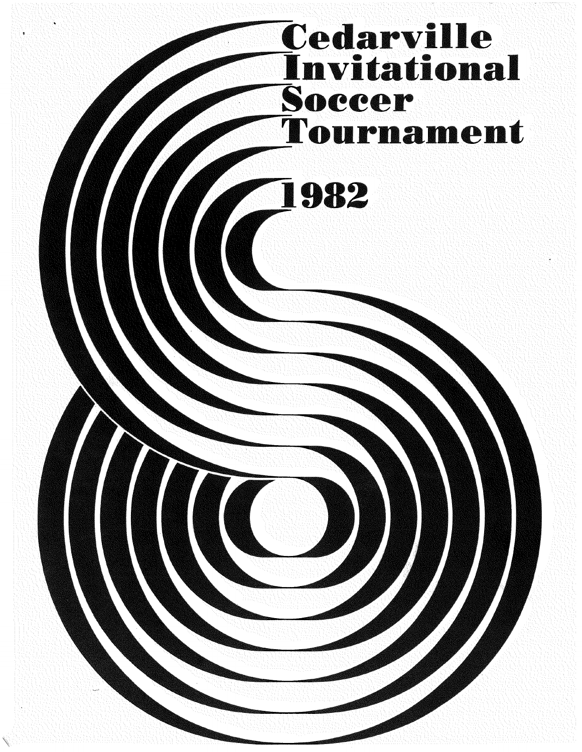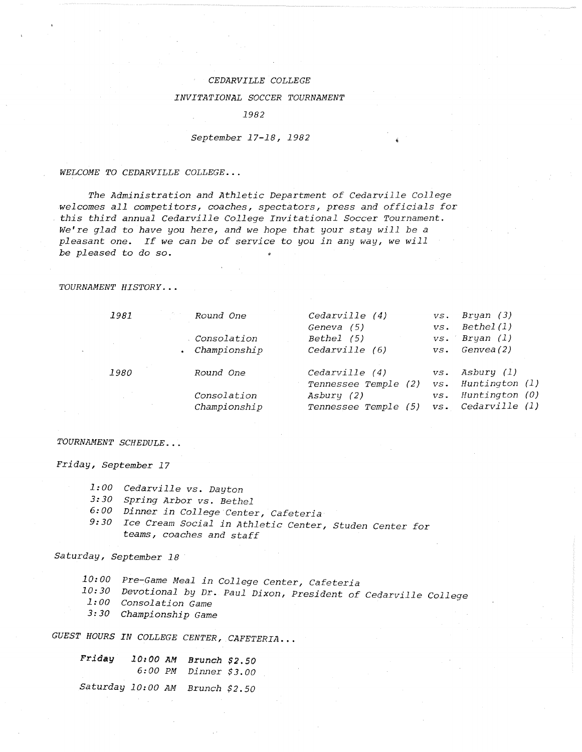## *CEDARVILLE COLLEGE*

### *INVITATIONAL SOCCER TOURNAMENT*

*1982* 

## *September 17-18, 1982*

*WELCOME TO CEDARVILLE COLLEGE ...* 

*The Administration and Athletic Department of Cedarville College welcomes all competitors, coaches, spectators, press and officials for this third annual Cedarville College Invitational Soccer Tournament. We're glad to have you here, and we hope that your stay will be a pleasant one. If we can be of service to you in any way, we will be pleased to do so.* 

## *TOURNAMENT HISTORY .* ..

| 1981        | Round One<br>Consolation<br>Championship | Cedarville (4)<br>Geneva (5)<br>Bethel (5)<br>Cedarville (6)             | VS.<br>$VS$ .<br>$VS$ .<br>$VS$ . | Bryan (3)<br>Bethel(1)<br>Bryan (1)<br>Genvea(2)                 |
|-------------|------------------------------------------|--------------------------------------------------------------------------|-----------------------------------|------------------------------------------------------------------|
| <i>1980</i> | Round One<br>Consolation<br>Championship | Cedarville (4)<br>Tennessee Temple (2)<br>Asbury (2)<br>Tennessee Temple | $VS$ .<br>$VS$ .<br>VS.<br>$VS$ . | Asbury (1)<br>Huntington (1)<br>Huntington (0)<br>Cedarville (1) |

## *TOURNAMENT SCHEDULE ...*

*Friday, September 17* 

- *1:00 Cedarville vs. Dayton*
- *3:30 Spring Arbor vs. Bethel*
- *6:00 Dinner in College Center, Cafeteria*
- *9:30 Ice Cream Social in Athletic Center, Studen Center for teams, coaches and staff*

## *Saturday, September 18*

*Pre-Game Meal in College Center, Cafeteria 10: 00* 

- *10: 30 Devotional by* Dr. *Paul Dixon, President of Cedarville College*
- *1:00 Consolation Game*
- *3:30 Championship Game*

*GUEST HOURS IN COLLEGE CENTER, CAFETERIA ...* 

| Friday            | 10:00 AM<br>6:00 PM | Brunch \$2.50<br><i>Dinner</i> \$3.00 |  |
|-------------------|---------------------|---------------------------------------|--|
| Saturday 10:00 AM |                     | Brunch $$2.50$                        |  |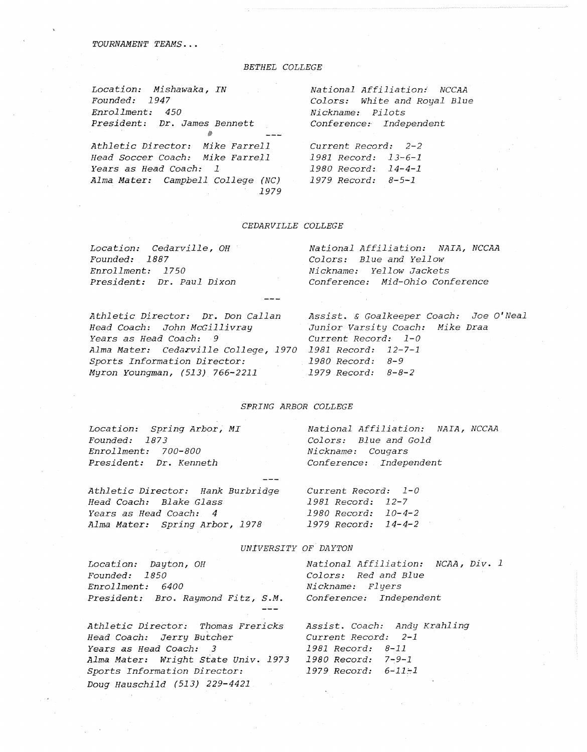*TOURNAMENT TEAMS ...* 

## *BETHEL COLLEGE*

| Location: Mishawaka, IN         |  |
|---------------------------------|--|
| Founded: 1947                   |  |
| Enrollment: 450                 |  |
| President: Dr. James Bennett    |  |
|                                 |  |
| Athletic Director: Mike Farrell |  |

*Head Soccer Coach: Mike Farrell* 

*Years as Head Coach: 1* 

*National Affiliation: NCCAA Colors: White and Royal Blue Nickname: Pilots Conference: Independent* 

*Alma Mater: Campbell College (NC) 1979 Record: 8-5-1 Current Record: 2-2 1981 Record: 13-6-1 1980 Record: 14-4-1* 

### *CEDARVILLE COLLEGE*

*1979* 

| Location: Cedarville, OH  | National Affiliation: NAIA, NCCAA |
|---------------------------|-----------------------------------|
| <i>Founded: 1887</i>      | Colors: Blue and Yellow           |
| Enrollment: 1750          | Nickname: Yellow Jackets          |
| President: Dr. Paul Dixon | Conference: Mid-Ohio Conference   |
|                           |                                   |

*Athletic Director: Dr. Don Callan Head Coach: John McGillivray Years as Head Coach: 9 Alma Mater: Ceda~ville College, 1970 1981 Record: 12-7-1 Sports Information Director: 1980 Record: 8-9 Myron Youngman, (513) 766-2211* 

*Assist.* & *Goalkeeper Coaoh: Joe O'Neal Junior Varsity Coach: Mike Draa Current Record: 1-0 1979 Record: 8-8-2* 

## *SPRING ARBOR COLLEGE*

*Location: Spring Arbor, MI Founded: 1873 Enrollment: 700-800 President: Dr. Kenneth* 

*Athletic Director: Hank Burbridge Head Coach: Blake Glass Years as Head Coach: 4* 

*Sports Information Director: Doug Hauschild (513) 229-4421* 

*National Affiliation: NAIA, NCCAA Colors: Blue and Gold Nickname: Cougars Conference: Independent* 

*Alma Mater: Spring Arbor, 1978 1979 Record: 14-4-2 Current Record: 1-0 1981 Record: 12-7 1980 Record: 10-4-2* 

*1979 Record: 6~11~1* 

#### *UNIVERSITY OF DAYTON*

| Location: Dayton, OH                 | National Affiliation: NCAA, Div. 1 |
|--------------------------------------|------------------------------------|
| Founded: 1850                        | Colors: Red and Blue               |
| Enrollment: 6400                     | Nickname: Flyers                   |
| President: Bro. Raymond Fitz, S.M.   | Conference: Independent            |
| Athletic Director: Thomas Frericks   | Assist. Coach: Andy Krahling       |
| Head Coach: Jerry Butcher            | Current Record: 2-1                |
| Years as Head Coach: 3               | 1981 Record: 8-11                  |
| Alma Mater:  Wright State Univ. 1973 | 1980 Record: 7-9-1                 |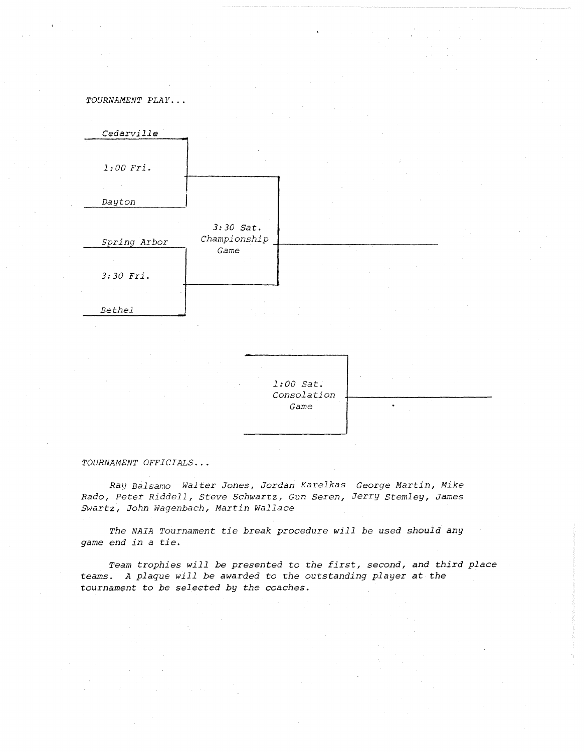

#### *TOURNAMENT OFFICIALS ...*

*Ray Balsamo Walter Jones, Jordan Karelkas George Martin, Mike Rado, Peter Riddell, Steve Schwartz, Gun Seren, Jerry Stemley, James Swartz, John Wagenbach, Martin Wallace* 

*The NAIA Tournament tie break procedure will be used should any game end in a tie.* 

*Team trophies will be presented to the first, second, and third place teams. A plaque will be awarded to the outstanding player at the tournament to be selected by the coaches.*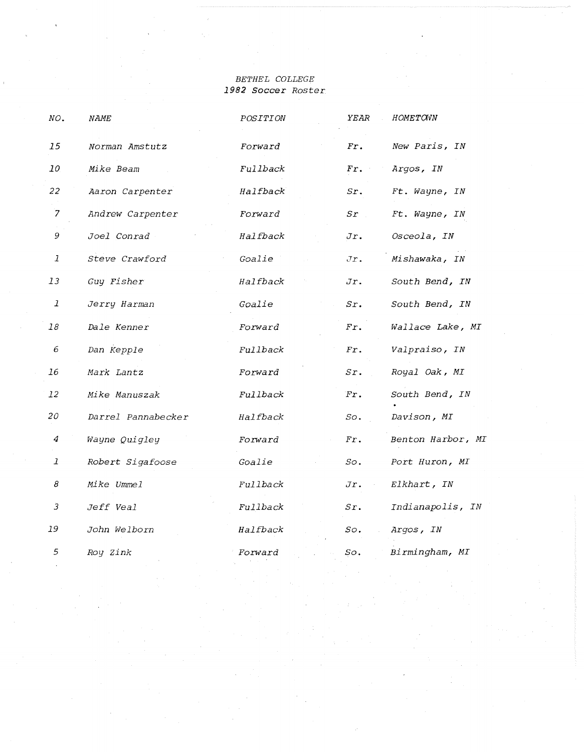## *BETHEL COLLEGE 1982 Soccer Roster*

| NO.           | <i>NAME</i>        | POSITION       | YEAR                | HOMETOWN          |
|---------------|--------------------|----------------|---------------------|-------------------|
| 15            | Norman Amstutz     | Forward        | Fr.                 | New Paris, IN     |
| 10            | Mike Beam          | Fullback       | Fr.                 | Argos, IN         |
| 22            | Aaron Carpenter    | Halfback       | Sr.                 | Ft. Wayne, IN     |
| 7             | Andrew Carpenter   | Forward        | $S_{\mathcal{I}}$ . | Ft. Wayne, IN     |
| 9             | <i>Joel Conrad</i> | Halfback       | Jr.                 | Osceola, IN       |
| $\mathcal{I}$ | Steve Crawford     | Goalie         | Jr.                 | Mishawaka, IN     |
| 13            | Guy Fisher         | Halfback       | Jr.                 | South Bend, IN    |
| $\mathcal{I}$ | Jerry Harman       | Goalie         | Sr.                 | South Bend, IN    |
| 18            | Dale Kenner        | <i>Forward</i> | Fx.                 | Wallace Lake, MI  |
| 6             | Dan Kepple         | Fullback       | Fr.                 | Valpraiso, IN     |
| 16            | Mark Lantz         | Forward        | Sr.                 | Royal Oak, MI     |
| 12            | Mike Manuszak      | Fullback       | Fr.                 | South Bend, IN    |
| 20            | Darrel Pannabecker | Halfback       | So.                 | Davison, MI       |
| 4             | Wayne Quigley      | Forward        | Fr.                 | Benton Harbor, MI |
| $\mathcal{I}$ | Robert Sigafoose   | Goalie         | SO <sub>2</sub>     | Port Huron, MI    |
| 8             | Mike Ummel         | Fullback       | Jr.                 | Elkhart, IN       |
| 3             | Jeff Veal          | Fullback       | sr.                 | Indianapolis, IN  |
| 19            | John Welborn       | Halfback       | SO <sub>o</sub>     | Argos, IN         |
| 5             | Roy Zink           | Forward        | So.                 | Birmingham, MI    |
|               |                    |                |                     |                   |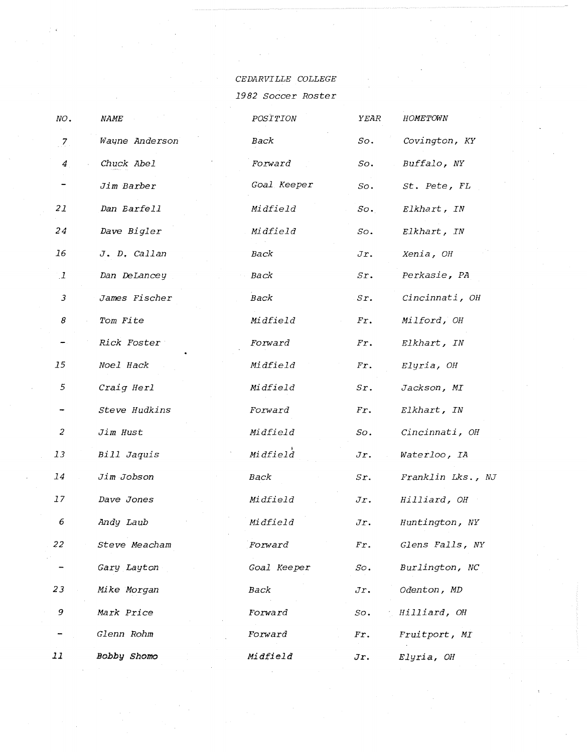CEDARVILLE COLLEGE 1982 Soccer Roster

| NO.            | <b>NAME</b>        | POSITION       | YEAR            | HOMETOWN          |
|----------------|--------------------|----------------|-----------------|-------------------|
| $\overline{Z}$ | Wayne Anderson     | Back           | So.             | Covington, KY     |
| 4              | Chuck Abel         | Forward        | So.             | Buffalo, NY       |
|                | Jim Barber         | Goal Keeper    | So.             | St. Pete, FL      |
| 21             | Dan Barfell        | Midfield       | SO <sub>2</sub> | Elkhart, IN       |
| 24             | Dave Bigler        | Midfield       | So.             | Elkhart, IN       |
| 16             | J. D. Callan       | Back           | Jr.             | Xenia, OH         |
| $\mathbf{I}$   | Dan DeLancey       | Back           | Sr.             | Perkasie, PA      |
| $\mathfrak{Z}$ | James Fischer      | Back           | sr.             | Cincinnati, OH    |
| 8              | Tom Fite           | Midfield       | Fx.             | Milford, OH       |
|                | <i>Rick Foster</i> | Forward        | Fx.             | Elkhart, IN       |
| 15             | Noel Hack          | Midfield       | Fr.             | Elyria, OH        |
| 5              | Craig Herl         | Midfield       | $S_{r}$ .       | Jackson, MI       |
|                | Steve Hudkins      | <i>Forward</i> | Fx.             | Elkhart, IN       |
| 2              | Jim Hust           | Midfield       | SO <sub>2</sub> | Cincinnati, OH    |
| 13             | Bill Jaquis        | Midfield       | Jr.             | Waterloo, IA      |
| 14             | Jim Jobson         | Back           | Sr.             | Franklin Lks., NJ |
| 17             | Dave Jones         | Midfield       | Jr.             | Hilliard, OH      |
| 6              | Andy Laub          | Midfield       | Jr.             | Huntington, NY    |
| 22             | Steve Meacham      | Forward        | Fr.             | Glens Falls, NY   |
|                | Gary Layton        | Goal Keeper    | SO <sub>2</sub> | Burlington, NC    |
| 23             | Mike Morgan        | Back           | Jr.             | Odenton, MD       |
| 9              | Mark Price         | Forward        | So.             | Hilliard, OH      |
|                | Glenn Rohm         | Forward        | Fx.             | Fruitport, MI     |
| 11             | <b>Bobby Shomo</b> | Midfield       | Jr.             | Elyria, OH        |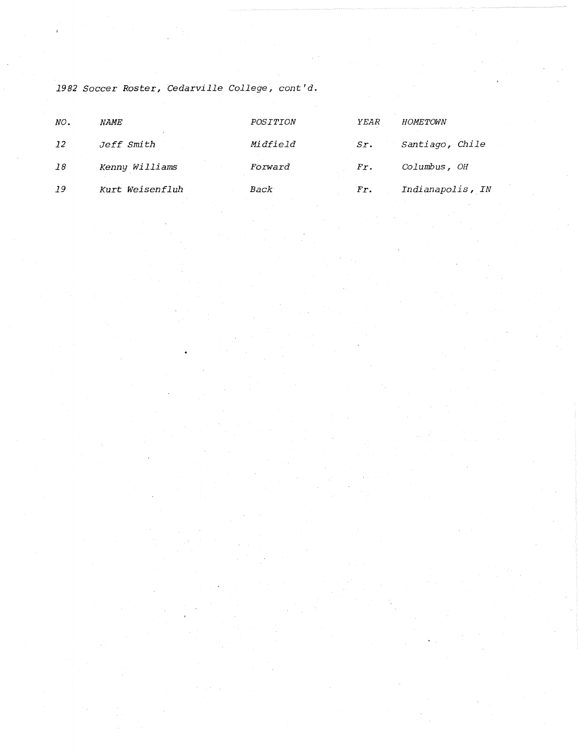1982 Soccer Roster, Cedarville College, cont'd.

| NO. | <i>NAME</i>       | POSITION        | YEAR | <b>HOMETOWN</b>  |
|-----|-------------------|-----------------|------|------------------|
| -12 | <i>Jeff Smith</i> | <i>Midfield</i> | Sr.  | Santiago, Chile  |
| 18  | Kenny Williams    | <i>Forward</i>  | Fr.  | Columbus, OH     |
| 19  | Kurt Weisenfluh   | <i>Back</i>     | Fr.  | Indianapolis, IN |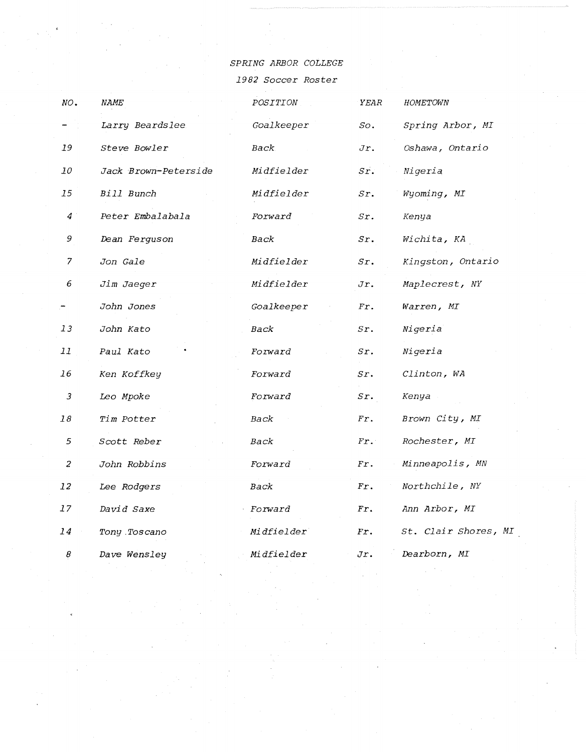SPRING ARBOR COLLEGE

1982 Soccer Roster

| NO.            | <i>NAME</i>          | $POSTTION$        | ${YEAR}$  | HOMETOWN             |
|----------------|----------------------|-------------------|-----------|----------------------|
|                | Larry Beardslee      | Goalkeeper        | So.       | Spring Arbor, MI     |
| 19             | Steve Bowler         | Back              | Jr.       | Oshawa, Ontario      |
| 10             | Jack Brown-Peterside | Midfielder        | sr.       | Nigeria              |
| 15             | Bill Bunch           | Midfielder        | $S_{r}$ . | Wyoming, MI          |
| $\overline{4}$ | Peter Embalabala     | <i>Forward</i>    | Sr.       | Kenya                |
| 9              | Dean Ferguson        | Back              | Sr.       | Wichita, KA          |
| $\overline{7}$ | Jon Gale             | <i>Midfielder</i> | Sr.       | Kingston, Ontario    |
| 6              | Jim Jaeger           | Midfielder        | Jr.       | Maplecrest, NY       |
|                | John Jones           | Goalkeeper        | Fx.       | Warren, MI           |
| 13             | John Kato            | <b>Back</b>       | sr.       | Nigeria              |
| 11             | Paul Kato            | <i>Forward</i>    | Sr.       | Nigeria              |
| 16             | Ken Koffkey          | <i>Forward</i>    | Sr.       | Clinton, WA          |
| $\mathfrak{Z}$ | Leo Mpoke            | Forward           | sr.       | Kenya                |
| $18\,$         | Tim Potter           | Back              | $Fx$ .    | Brown City, MI       |
| 5              | Scott Reber          | Back              | Fr.       | Rochester, MI        |
| $\overline{c}$ | John Robbins         | Forward           | Fr.       | Minneapolis, MN      |
| 12             | Lee Rodgers          | Back              | Fr.       | Northchile, NY       |
| 17             | David Saxe           | Forward           | Fr.       | Ann Arbor, MI        |
| 14             | Tony Toscano         | Midfielder        | Fr.       | St. Clair Shores, MI |
| 8              | Dave Wensley         | Midfielder        | Jr.       | Dearborn, MI         |